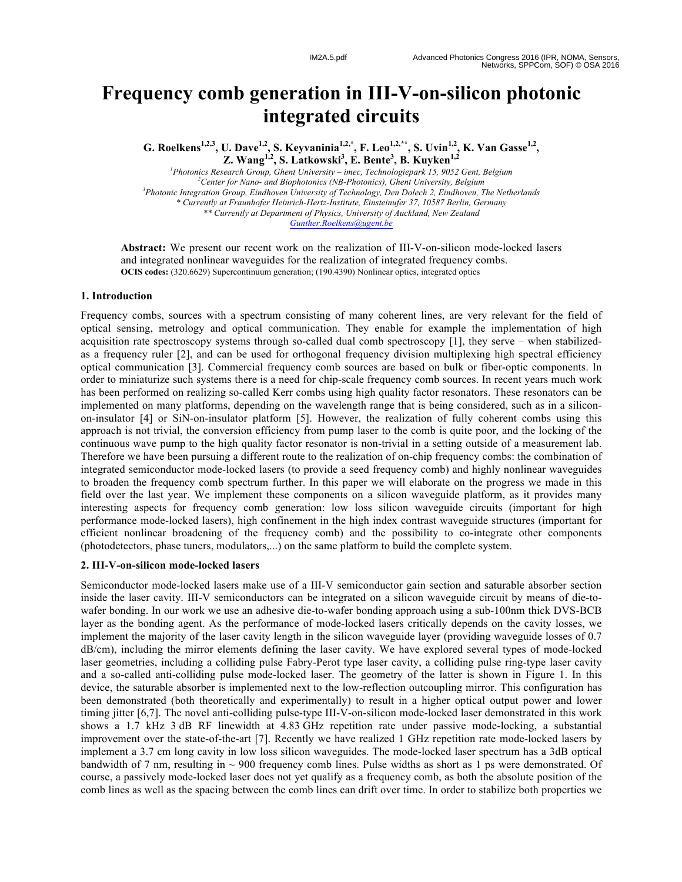# **Frequency comb generation in III - V -on -silicon photonic integrated circuits**

**G. Roelkens**<sup>1,2,3</sup>, U. Dave<sup>1,2</sup>, S. Keyvaninia<sup>1,2,\*</sup>, F. Leo<sup>1,2,\*\*</sup>, S. Uvin<sup>1,2</sup>, K. Van Gasse<sup>1,2</sup>, **Z. Wang1,2, S. Latkowski 3 , E. Bente 3 , B. Kuyken1,2**

<sup>1</sup> Photonics Research Group, Ghent University – imec, Technologiepark 15, 9052 Gent, Belgium *2 Center for Nano - and Biophotonics (NB -Photonics), Ghent University, Belgium 3 Photonic Integration Group, Eindhoven University of Technology, Den Dolech 2, Eindhoven, The Netherlands \* Currently at Fraunhofer Heinrich -Hertz -Institute, Einsteinufer 37, 10587 Berlin, Germany \*\* Currently at Department of Physics, University of Auckland, New Zealand Gunther.Roelkens@ugent.be*

Abstract: We present our recent work on the realization of III-V-on-silicon mode-locked lasers and integrated nonlinear waveguides for the realization of integrated frequency combs. **OCIS codes:** (320.6629) Supercontinuum generation; (190.4390) Nonlinear optics, integrated optics

### **1. Introduction**

Frequency combs, sources with a spectrum consisting of many coherent lines, are very relevant for the field of optical sensing, metrology and optical communication. They enable for example the implementation of high acquisition rate spectroscopy systems through so-called dual comb spectroscopy [1], they serve – when stabilizedas a frequency ruler [ 2 ], and can be used for orthogonal frequency division multiplexing high spectral efficiency optical communication [ 3 ]. Commercial frequency comb sources are based on bulk or fiber -optic components. In order to miniaturize such systems there is a need for chip -scale frequency comb sources. In recent years much work has been performed on realizing so-called Kerr combs using high quality factor resonators. These resonators can be implemented on many platforms, depending on the wavelength range that is being considered, such as in a silicon on -insulator [ 4 ] or SiN -on -insulator platform [ 5 ]. However, the realization of fully coherent combs using this approach is not trivial, the conversion efficiency from pump laser to the comb is quite poor, and the locking of the continuous wave pump to the high quality factor resonator is non -trivial in a setting outside of a measurement lab . Ther efore we have been pursuing a different route to the realization of on -chip frequency combs: the combination of integrated semiconductor mode -locked lasers (to provide a seed frequency comb) and highly nonlinear waveguides to broaden the frequency comb spectrum further. In this paper we will elaborate on the progress we made in this field over the last year. We implement these components on a silicon waveguide platform, as it provides many interesting aspects for frequency comb generation: low loss silicon waveguide circuits (important for high performance mod e -locked lasers), high confinement in the high index contrast waveguide structures (important for efficient nonlinear broadening of the frequency comb) and the possibility to co -integrate other components (photodetectors, phase tuners, modulators,...) on the same platform to build the complete system.

#### **2. III - V -on -silicon mode -locked lasers**

Semiconductor mode -locked lasers make use of a III -V semiconductor gain section and saturable absorber section inside the laser cavity. III-V semiconductors can be integrated on a silicon waveguide circuit by means of die-towafer bonding. In our work we use an adhesive die-to-wafer bonding approach using a sub-100nm thick DVS-BCB layer as the bonding agent. As the performance of mode -locked lasers critically depends on the cavity losses, we implement the majority of the laser cavity length in the silicon waveguide layer (providing waveguide losses of 0. 7 dB/cm), including the mirror elements defining the laser cavity. We have explored several types of mode -locked laser geometries, including a colliding pulse Fabry -Perot type laser cavity, a colliding pulse ring -type laser cavity and a so -called anti -colliding pulse mode -locked laser. The geometry of the latter is shown in Figure 1. In this device, the saturable absorber is implemented next to the low -reflection outcoupling mirror. This configuration has been demonstrated (both theoretically and experimentally) to result in a higher optical output power and lower timing jitter [6,7]. The novel anti-colliding pulse-type III-V-on-silicon mode-locked laser demonstrated in this work shows a 1.7 kHz 3 dB RF linewidth at 4.83 GHz repetition rate under passive mode -locking, a substantial improvement over the state-of-the-art [7]. Recently we have realized 1 GHz repetition rate mode-locked lasers by implement a 3.7 cm long cavity in low loss silicon waveguides. The mode -locked laser spectrum has a 3dB optical bandwidth of 7 nm, resulting in  $\sim$  900 frequency comb lines. Pulse widths as short as 1 ps were demonstrated. Of course, a passively mode -locked laser does not yet qualify as a frequency comb, as both the absolute position of the comb lines as well as the spacing between the comb lines can drift over time. In order to stabilize both properties we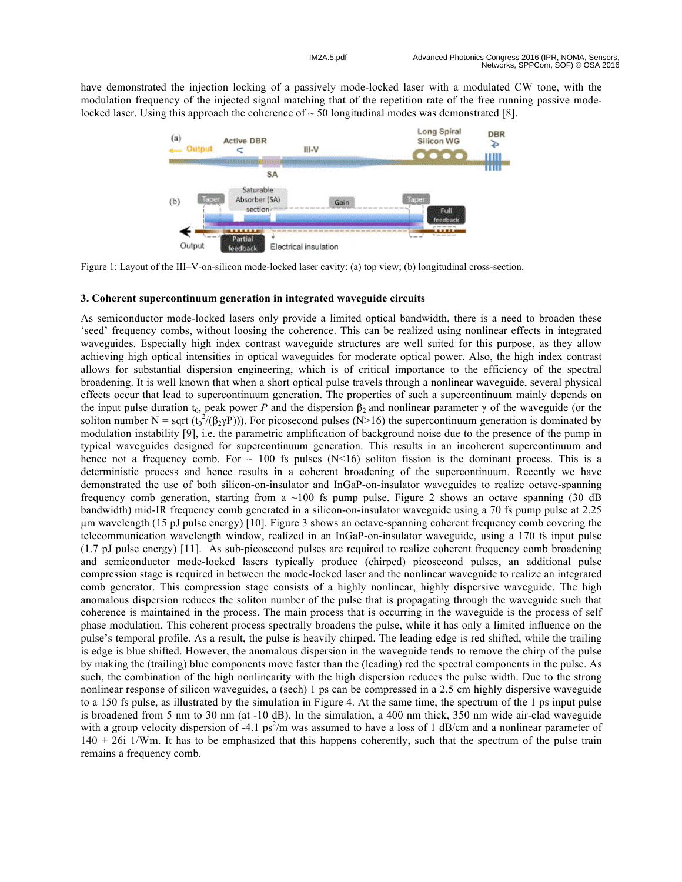have demonstrated the injection locking of a passively mode -locked laser with a modulated CW tone, with the modulation frequency of the injected signal matching that of the repetition rate of the free running passive mode locked laser. Using this approach the coherence of  $\sim$  50 longitudinal modes was demonstrated [8].



Figure 1: Layout of the III–V-on-silicon mode-locked laser cavity: (a) top view; (b) longitudinal cross-section.

## **3. Coherent supercontinuum generation in integrated waveguide circuits**

As semiconductor mode -locked lasers only provide a limited optical bandwidth, there is a need to broaden these 'seed' frequency combs, without loosing the coherence. This can be realized using nonlinear effects in integrated waveguides. Especially high index contrast waveguide structures are well suited for this purpose, as they allow achieving high optical intensities in optical waveguides for moderate optical power. Also, the high index contrast allows for substantial dispersion engineering, which is of critical importance to the efficiency of the spectral broadening. It is well known that when a short optical pulse travels through a nonlinear waveguide, several physical effects occur that lead to supercontinuum generation. The properties of such a supercontinuum mainly depends on the input pulse duration  $t_0$ , peak power P and the dispersion  $\beta_2$  and nonlinear parameter  $\gamma$  of the waveguide (or the soliton number N = sqrt ( $t_0^2/(\beta_2\gamma P)$ )). For picosecond pulses (N>16) the supercontinuum generation is dominated by modulation instability [9], i.e. the parametric amplification of background noise due to the presence of the pump in typical waveguides designed for supercontinuum generation. This results in an incoherent supercontinuum and hence not a frequency comb. For  $\sim$  100 fs pulses (N<16) soliton fission is the dominant process. This is a deterministic process and hence results in a coherent broadening of the supercontinuum. Recently we have demonstrated the use of both silicon-on-insulator and InGaP-on-insulator waveguides to realize octave-spanning frequency comb generation, starting from a  $\sim$ 100 fs pump pulse. Figure 2 shows an octave spanning (30 dB) bandwidth) mid -IR frequency comb generated in a silicon -on -insulator waveguide using a 70 fs pump pulse at 2.25 µm wavelength (15 pJ pulse energy) [10]. Figure 3 shows an octave -spanning coherent frequency comb covering the telecommunication wavelength window, realized in an InGaP -on -insulator waveguide, using a 170 fs input pulse (1.7 pJ pulse energy) [11]. As sub -picosecond pulses are required to realize coherent frequency comb broadening and semiconductor mode -locked lasers typically produce (chirped) picosecond pulses, an additional pulse compression stage is required in between the mode -locked laser and the nonlinear waveguide to realize an integrated comb generator . This compression stage consists of a highly nonlinear, highly dispersive waveguide. The high anomalous dispersion reduces the soliton number of the pulse that is propagating through the waveguide such that coherence is maintained in the process. The main process that is occurring in the waveguide is the process of self phase modulation. This coherent process spectrally broadens the pulse, while it has only a limited influence on the pulse's temporal profile. As a result, the pulse is heavily chirped. The leading edge is red shifted, while the trailing is edge is blue shifted. However, the anomalous dispersion in the waveguide tends to remove the chirp of the pulse by making the (trailing) blue components move faster than the (leading) red the spectral components in the pulse. As such, the combination of the high nonlinearity with the high dispersion reduces the pulse width. Due to the strong nonlinear response of silicon waveguides, a (sech) 1 ps can be compressed in a 2.5 cm h ighly dispersive waveguide to a 150 fs pulse, as illustrated by the simulation in Figure 4. At the same time, the spectrum of the 1 ps input pulse is broadened from 5 nm to 30 nm (at -10 dB). In the simulation, a 400 nm thick, 350 nm wide air-clad waveguide with a group velocity dispersion of -4.1 ps<sup>2</sup>/m was assumed to have a loss of 1 dB/cm and a nonlinear parameter of 140 + 26i 1/Wm. It has to be emphasized that this happens coherently, such that the spectrum of the pulse train remains a frequency comb .